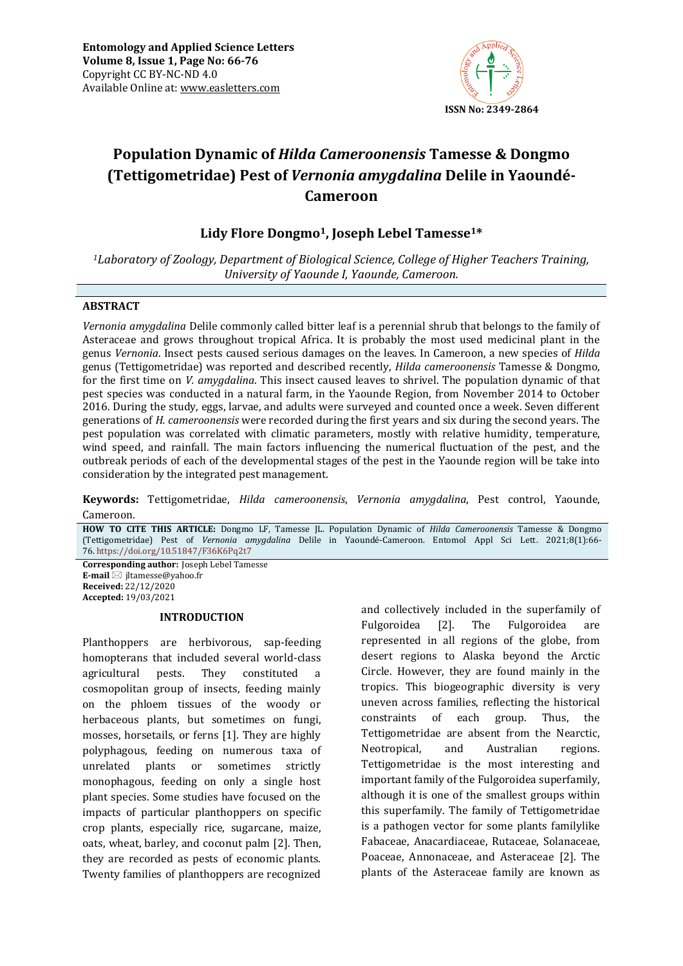

# **Population Dynamic of** *Hilda Cameroonensis* **Tamesse & Dongmo (Tettigometridae) Pest of** *Vernonia amygdalina* **Delile in Yaoundé-Cameroon**

# **Lidy Flore Dongmo1, Joseph Lebel Tamesse1\***

*<sup>1</sup>Laboratory of Zoology, Department of Biological Science, College of Higher Teachers Training, University of Yaounde I, Yaounde, Cameroon.*

## **ABSTRACT**

*Vernonia amygdalina* Delile commonly called bitter leaf is a perennial shrub that belongs to the family of Asteraceae and grows throughout tropical Africa. It is probably the most used medicinal plant in the genus *Vernonia*. Insect pests caused serious damages on the leaves. In Cameroon, a new species of *Hilda* genus (Tettigometridae) was reported and described recently, *Hilda cameroonensis* Tamesse & Dongmo, for the first time on *V. amygdalina*. This insect caused leaves to shrivel. The population dynamic of that pest species was conducted in a natural farm, in the Yaounde Region, from November 2014 to October 2016. During the study, eggs, larvae, and adults were surveyed and counted once a week. Seven different generations of *H. cameroonensis* were recorded during the first years and six during the second years. The pest population was correlated with climatic parameters, mostly with relative humidity, temperature, wind speed, and rainfall. The main factors influencing the numerical fluctuation of the pest, and the outbreak periods of each of the developmental stages of the pest in the Yaounde region will be take into consideration by the integrated pest management.

**Keywords:** Tettigometridae, *Hilda cameroonensis*, *Vernonia amygdalina*, Pest control, Yaounde, Cameroon*.*

**HOW TO CITE THIS ARTICLE:** Dongmo LF, Tamesse JL. Population Dynamic of *Hilda Cameroonensis* Tamesse & Dongmo (Tettigometridae) Pest of *Vernonia amygdalina* Delile in Yaoundé-Cameroon. Entomol Appl Sci Lett. 2021;8(1):66- 76. <https://doi.org/10.51847/F36K6Pq2t7>

**Corresponding author:** Joseph Lebel Tamesse **E-mail** ⊠ jltamesse@yahoo.fr **Received:** 22/12/2020 **Accepted:** 19/03/2021

## **INTRODUCTION**

Planthoppers are herbivorous, sap-feeding homopterans that included several world-class agricultural pests. They constituted a cosmopolitan group of insects, feeding mainly on the phloem tissues of the woody or herbaceous plants, but sometimes on fungi, mosses, horsetails, or ferns [1]. They are highly polyphagous, feeding on numerous taxa of unrelated plants or sometimes strictly monophagous, feeding on only a single host plant species. Some studies have focused on the impacts of particular planthoppers on specific crop plants, especially rice, sugarcane, maize, oats, wheat, barley, and coconut palm [2]. Then, they are recorded as pests of economic plants. Twenty families of planthoppers are recognized

and collectively included in the superfamily of Fulgoroidea [2]. The Fulgoroidea are represented in all regions of the globe, from desert regions to Alaska beyond the Arctic Circle. However, they are found mainly in the tropics. This biogeographic diversity is very uneven across families, reflecting the historical constraints of each group. Thus, the Tettigometridae are absent from the Nearctic, Neotropical, and Australian regions. Tettigometridae is the most interesting and important family of the Fulgoroidea superfamily, although it is one of the smallest groups within this superfamily. The family of Tettigometridae is a pathogen vector for some plants familylike Fabaceae, Anacardiaceae, Rutaceae, Solanaceae, Poaceae, Annonaceae, and Asteraceae [2]. The plants of the Asteraceae family are known as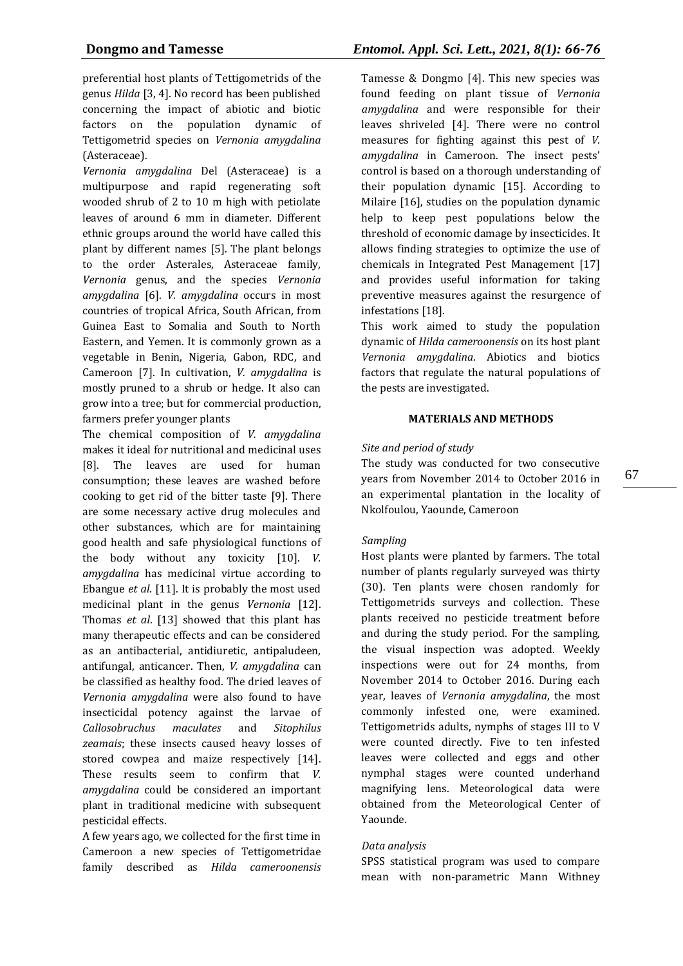preferential host plants of Tettigometrids of the genus *Hilda* [3, 4]. No record has been published concerning the impact of abiotic and biotic factors on the population dynamic of Tettigometrid species on *Vernonia amygdalina* (Asteraceae).

*Vernonia amygdalina* Del (Asteraceae) is a multipurpose and rapid regenerating soft wooded shrub of 2 to 10 m high with petiolate leaves of around 6 mm in diameter. Different ethnic groups around the world have called this plant by different names [5]. The plant belongs to the order Asterales, Asteraceae family, *Vernonia* genus, and the species *Vernonia amygdalina* [6]. *V. amygdalina* occurs in most countries of tropical Africa, South African, from Guinea East to Somalia and South to North Eastern, and Yemen. It is commonly grown as a vegetable in Benin, Nigeria, Gabon, RDC, and Cameroon [7]. In cultivation, *V. amygdalina* is mostly pruned to a shrub or hedge. It also can grow into a tree; but for commercial production, farmers prefer younger plants

The chemical composition of *V. amygdalina* makes it ideal for nutritional and medicinal uses [8]. The leaves are used for human consumption; these leaves are washed before cooking to get rid of the bitter taste [9]. There are some necessary active drug molecules and other substances, which are for maintaining good health and safe physiological functions of the body without any toxicity [10]. *V. amygdalina* has medicinal virtue according to Ebangue *et al*. [11]. It is probably the most used medicinal plant in the genus *Vernonia* [12]. Thomas *et al*. [13] showed that this plant has many therapeutic effects and can be considered as an antibacterial, antidiuretic, antipaludeen, antifungal, anticancer. Then, *V. amygdalina* can be classified as healthy food. The dried leaves of *Vernonia amygdalina* were also found to have insecticidal potency against the larvae of *Callosobruchus maculates* and *Sitophilus zeamais*; these insects caused heavy losses of stored cowpea and maize respectively [14]. These results seem to confirm that *V. amygdalina* could be considered an important plant in traditional medicine with subsequent pesticidal effects.

A few years ago, we collected for the first time in Cameroon a new species of Tettigometridae family described as *Hilda cameroonensis* Tamesse & Dongmo [4]. This new species was found feeding on plant tissue of *Vernonia amygdalina* and were responsible for their leaves shriveled [4]. There were no control measures for fighting against this pest of *V. amygdalina* in Cameroon. The insect pests' control is based on a thorough understanding of their population dynamic [15]. According to Milaire [16], studies on the population dynamic help to keep pest populations below the threshold of economic damage by insecticides. It allows finding strategies to optimize the use of chemicals in Integrated Pest Management [17] and provides useful information for taking preventive measures against the resurgence of infestations [18].

This work aimed to study the population dynamic of *Hilda cameroonensis* on its host plant *Vernonia amygdalina*. Abiotics and biotics factors that regulate the natural populations of the pests are investigated.

# **MATERIALS AND METHODS**

# *Site and period of study*

The study was conducted for two consecutive years from November 2014 to October 2016 in an experimental plantation in the locality of Nkolfoulou, Yaounde, Cameroon

## *Sampling*

Host plants were planted by farmers. The total number of plants regularly surveyed was thirty (30). Ten plants were chosen randomly for Tettigometrids surveys and collection. These plants received no pesticide treatment before and during the study period. For the sampling, the visual inspection was adopted. Weekly inspections were out for 24 months, from November 2014 to October 2016. During each year, leaves of *Vernonia amygdalina*, the most commonly infested one, were examined. Tettigometrids adults, nymphs of stages III to V were counted directly. Five to ten infested leaves were collected and eggs and other nymphal stages were counted underhand magnifying lens. Meteorological data were obtained from the Meteorological Center of Yaounde.

# *Data analysis*

SPSS statistical program was used to compare mean with non-parametric Mann Withney 67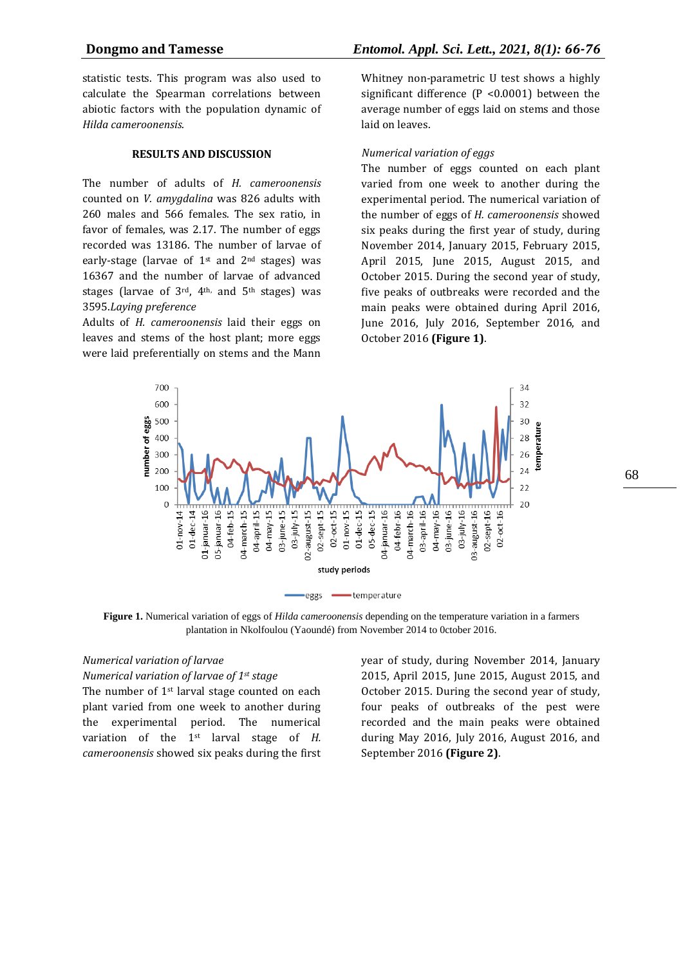statistic tests. This program was also used to calculate the Spearman correlations between abiotic factors with the population dynamic of *Hilda cameroonensis*.

#### **RESULTS AND DISCUSSION**

The number of adults of *H. cameroonensis* counted on *V. amygdalina* was 826 adults with 260 males and 566 females. The sex ratio, in favor of females, was 2.17. The number of eggs recorded was 13186. The number of larvae of early-stage (larvae of  $1^{st}$  and  $2^{nd}$  stages) was 16367 and the number of larvae of advanced stages (larvae of 3rd, 4<sup>th,</sup> and 5<sup>th</sup> stages) was 3595.*Laying preference*

Adults of *H. cameroonensis* laid their eggs on leaves and stems of the host plant; more eggs were laid preferentially on stems and the Mann

Whitney non-parametric U test shows a highly significant difference (P <0.0001) between the average number of eggs laid on stems and those laid on leaves.

#### *Numerical variation of eggs*

The number of eggs counted on each plant varied from one week to another during the experimental period. The numerical variation of the number of eggs of *H. cameroonensis* showed six peaks during the first year of study, during November 2014, January 2015, February 2015, April 2015, June 2015, August 2015, and October 2015. During the second year of study, five peaks of outbreaks were recorded and the main peaks were obtained during April 2016, June 2016, July 2016, September 2016, and October 2016 **(Figure 1)**.



**Figure 1.** Numerical variation of eggs of *Hilda cameroonensis* depending on the temperature variation in a farmers plantation in Nkolfoulou (Yaoundé) from November 2014 to 0ctober 2016.

## *Numerical variation of larvae*

#### *Numerical variation of larvae of 1st stage*

The number of 1<sup>st</sup> larval stage counted on each plant varied from one week to another during the experimental period. The numerical variation of the 1st larval stage of *H. cameroonensis* showed six peaks during the first year of study, during November 2014, January 2015, April 2015, June 2015, August 2015, and October 2015. During the second year of study, four peaks of outbreaks of the pest were recorded and the main peaks were obtained during May 2016, July 2016, August 2016, and September 2016 **(Figure 2)**.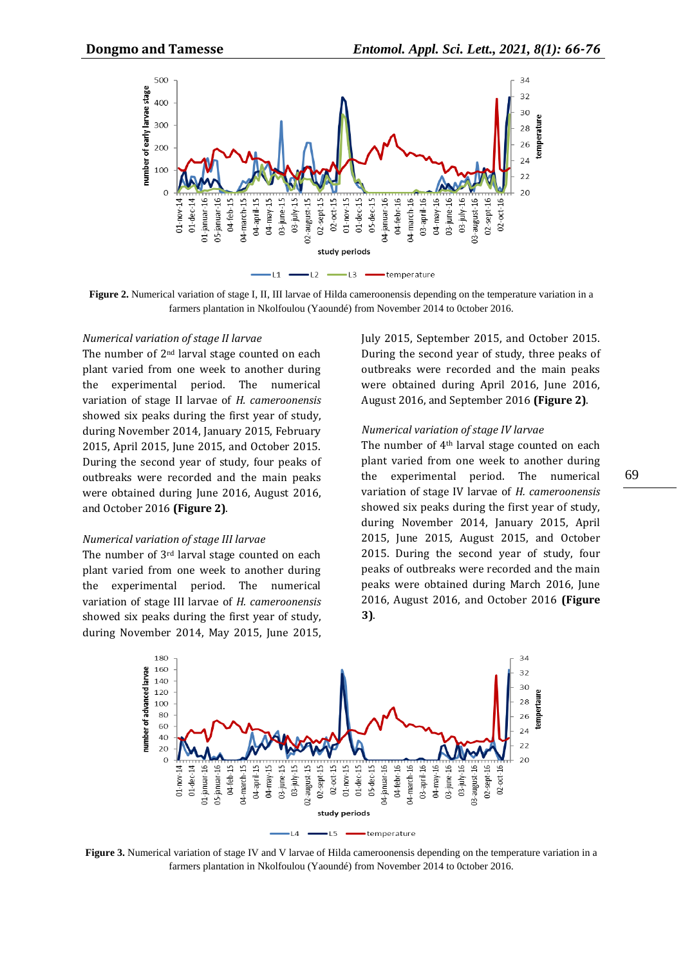

**Figure 2.** Numerical variation of stage I, II, III larvae of Hilda cameroonensis depending on the temperature variation in a farmers plantation in Nkolfoulou (Yaoundé) from November 2014 to 0ctober 2016.

#### *Numerical variation of stage II larvae*

The number of 2<sup>nd</sup> larval stage counted on each plant varied from one week to another during the experimental period. The numerical variation of stage II larvae of *H. cameroonensis* showed six peaks during the first year of study, during November 2014, January 2015, February 2015, April 2015, June 2015, and October 2015. During the second year of study, four peaks of outbreaks were recorded and the main peaks were obtained during June 2016, August 2016, and October 2016 **(Figure 2)**.

#### *Numerical variation of stage III larvae*

The number of 3<sup>rd</sup> larval stage counted on each plant varied from one week to another during the experimental period. The numerical variation of stage III larvae of *H. cameroonensis* showed six peaks during the first year of study, during November 2014, May 2015, June 2015, July 2015, September 2015, and October 2015. During the second year of study, three peaks of outbreaks were recorded and the main peaks were obtained during April 2016, June 2016, August 2016, and September 2016 **(Figure 2)**.

#### *Numerical variation of stage IV larvae*

The number of 4th larval stage counted on each plant varied from one week to another during the experimental period. The numerical variation of stage IV larvae of *H. cameroonensis* showed six peaks during the first year of study, during November 2014, January 2015, April 2015, June 2015, August 2015, and October 2015. During the second year of study, four peaks of outbreaks were recorded and the main peaks were obtained during March 2016, June 2016, August 2016, and October 2016 **(Figure 3)**.



**Figure 3.** Numerical variation of stage IV and V larvae of Hilda cameroonensis depending on the temperature variation in a farmers plantation in Nkolfoulou (Yaoundé) from November 2014 to 0ctober 2016.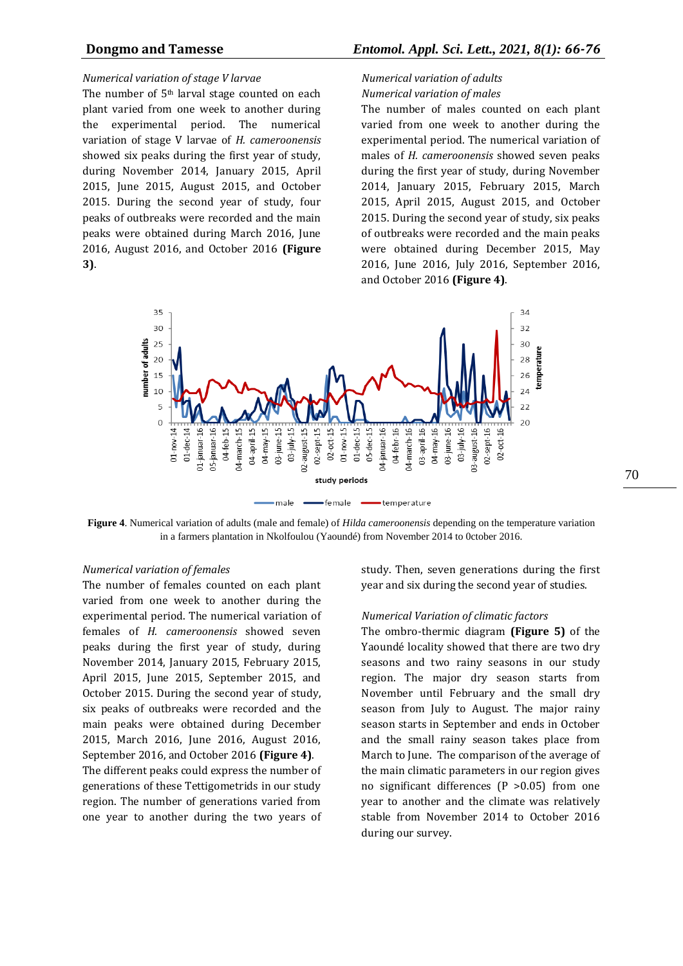#### *Numerical variation of stage V larvae*

The number of 5<sup>th</sup> larval stage counted on each plant varied from one week to another during the experimental period. The numerical variation of stage V larvae of *H. cameroonensis* showed six peaks during the first year of study, during November 2014, January 2015, April 2015, June 2015, August 2015, and October 2015. During the second year of study, four peaks of outbreaks were recorded and the main peaks were obtained during March 2016, June 2016, August 2016, and October 2016 **(Figure 3)**.

# *Numerical variation of adults Numerical variation of males*

The number of males counted on each plant varied from one week to another during the experimental period. The numerical variation of males of *H. cameroonensis* showed seven peaks during the first year of study, during November 2014, January 2015, February 2015, March 2015, April 2015, August 2015, and October 2015. During the second year of study, six peaks of outbreaks were recorded and the main peaks were obtained during December 2015, May 2016, June 2016, July 2016, September 2016, and October 2016 **(Figure 4)**.



**Figure 4**. Numerical variation of adults (male and female) of *Hilda cameroonensis* depending on the temperature variation in a farmers plantation in Nkolfoulou (Yaoundé) from November 2014 to 0ctober 2016.

#### *Numerical variation of females*

The number of females counted on each plant varied from one week to another during the experimental period. The numerical variation of females of *H. cameroonensis* showed seven peaks during the first year of study, during November 2014, January 2015, February 2015, April 2015, June 2015, September 2015, and October 2015. During the second year of study, six peaks of outbreaks were recorded and the main peaks were obtained during December 2015, March 2016, June 2016, August 2016, September 2016, and October 2016 **(Figure 4)**. The different peaks could express the number of generations of these Tettigometrids in our study region. The number of generations varied from one year to another during the two years of

study. Then, seven generations during the first year and six during the second year of studies.

#### *Numerical Variation of climatic factors*

The ombro-thermic diagram **(Figure 5)** of the Yaoundé locality showed that there are two dry seasons and two rainy seasons in our study region. The major dry season starts from November until February and the small dry season from July to August. The major rainy season starts in September and ends in October and the small rainy season takes place from March to June. The comparison of the average of the main climatic parameters in our region gives no significant differences (P >0.05) from one year to another and the climate was relatively stable from November 2014 to October 2016 during our survey.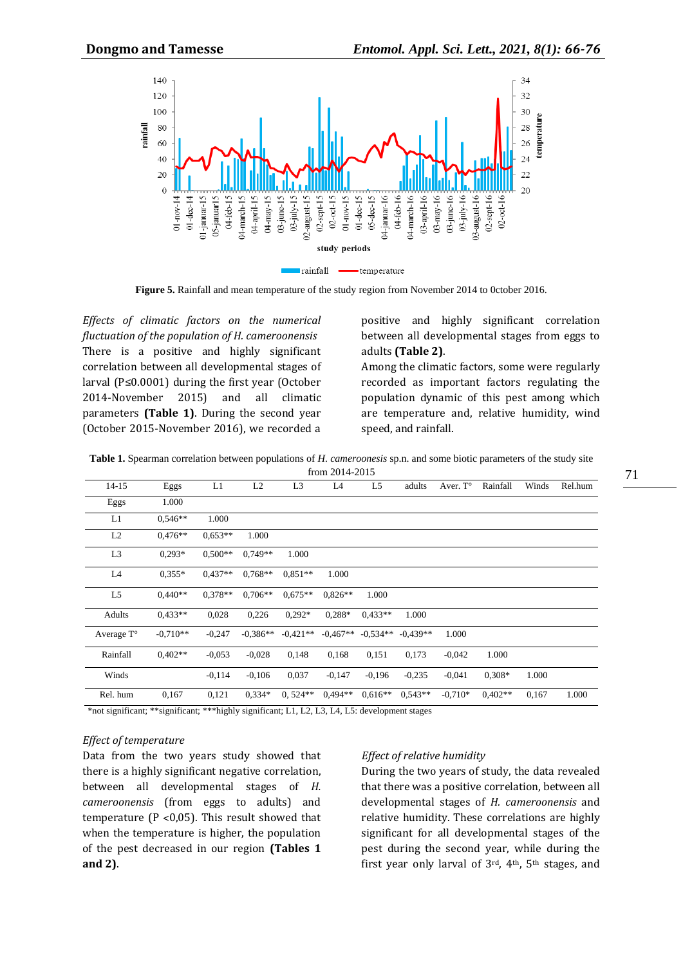

**Figure 5.** Rainfall and mean temperature of the study region from November 2014 to 0ctober 2016.

*Effects of climatic factors on the numerical fluctuation of the population of H. cameroonensis*  There is a positive and highly significant correlation between all developmental stages of larval (P≤0.0001) during the first year (October 2014-November 2015) and all climatic parameters **(Table 1)**. During the second year (October 2015-November 2016), we recorded a

positive and highly significant correlation between all developmental stages from eggs to adults **(Table 2)**.

Among the climatic factors, some were regularly recorded as important factors regulating the population dynamic of this pest among which are temperature and, relative humidity, wind speed, and rainfall.

**Table 1.** Spearman correlation between populations of *H. cameroonesis* sp.n. and some biotic parameters of the study site

| from 2014-2015      |            |           |            |                |            |            |            |           |           |       |         |
|---------------------|------------|-----------|------------|----------------|------------|------------|------------|-----------|-----------|-------|---------|
| $14 - 15$           | Eggs       | L1        | L2         | L <sub>3</sub> | L4         | L5         | adults     | Aver. T°  | Rainfall  | Winds | Rel.hum |
| Eggs                | 1.000      |           |            |                |            |            |            |           |           |       |         |
| L1                  | $0.546**$  | 1.000     |            |                |            |            |            |           |           |       |         |
| L2                  | $0,476**$  | $0.653**$ | 1.000      |                |            |            |            |           |           |       |         |
| L <sub>3</sub>      | $0.293*$   | $0,500**$ | $0.749**$  | 1.000          |            |            |            |           |           |       |         |
| L4                  | $0.355*$   | $0.437**$ | $0,768**$  | $0.851**$      | 1.000      |            |            |           |           |       |         |
| L <sub>5</sub>      | $0.440**$  | $0.378**$ | $0.706**$  | $0.675**$      | $0.826**$  | 1.000      |            |           |           |       |         |
| Adults              | $0.433**$  | 0,028     | 0,226      | $0.292*$       | $0,288*$   | $0.433**$  | 1.000      |           |           |       |         |
| Average $T^{\circ}$ | $-0.710**$ | $-0,247$  | $-0.386**$ | $-0.421**$     | $-0.467**$ | $-0.534**$ | $-0.439**$ | 1.000     |           |       |         |
| Rainfall            | $0.402**$  | $-0.053$  | $-0.028$   | 0,148          | 0,168      | 0,151      | 0,173      | $-0.042$  | 1.000     |       |         |
| Winds               |            | $-0.114$  | $-0.106$   | 0,037          | $-0,147$   | $-0.196$   | $-0.235$   | $-0,041$  | $0.308*$  | 1.000 |         |
| Rel. hum            | 0,167      | 0,121     | $0.334*$   | $0,524**$      | $0.494**$  | $0.616**$  | $0.543**$  | $-0.710*$ | $0.402**$ | 0,167 | 1.000   |

## *Effect of temperature*

Data from the two years study showed that there is a highly significant negative correlation, between all developmental stages of *H. cameroonensis* (from eggs to adults) and temperature ( $P$  < 0,05). This result showed that when the temperature is higher, the population of the pest decreased in our region **(Tables 1 and 2)**.

## *Effect of relative humidity*

During the two years of study, the data revealed that there was a positive correlation, between all developmental stages of *H. cameroonensis* and relative humidity. These correlations are highly significant for all developmental stages of the pest during the second year, while during the first year only larval of  $3<sup>rd</sup>$ ,  $4<sup>th</sup>$ ,  $5<sup>th</sup>$  stages, and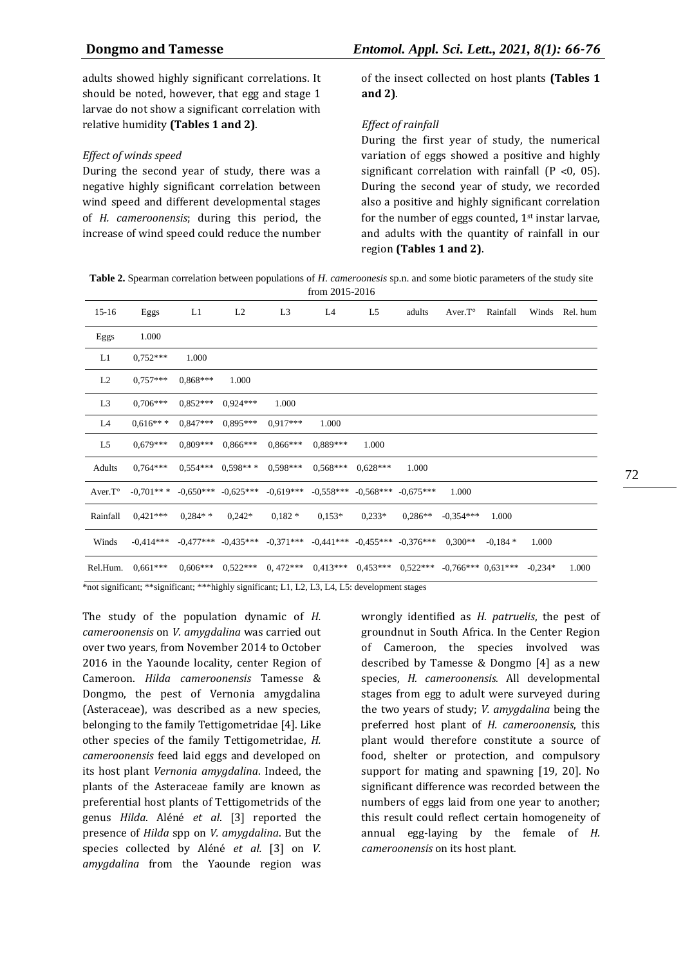adults showed highly significant correlations. It should be noted, however, that egg and stage 1 larvae do not show a significant correlation with relative humidity **(Tables 1 and 2)**.

#### *Effect of winds speed*

During the second year of study, there was a negative highly significant correlation between wind speed and different developmental stages of *H. cameroonensis*; during this period, the increase of wind speed could reduce the number of the insect collected on host plants **(Tables 1 and 2)**.

#### *Effect of rainfall*

During the first year of study, the numerical variation of eggs showed a positive and highly significant correlation with rainfall  $(P < 0, 05)$ . During the second year of study, we recorded also a positive and highly significant correlation for the number of eggs counted,  $1<sup>st</sup>$  instar larvae, and adults with the quantity of rainfall in our region **(Tables 1 and 2)**.

**Table 2.** Spearman correlation between populations of *H. cameroonesis* sp.n. and some biotic parameters of the study site from 2015-2016

| $15-16$                                                                                                                 | Eggs       | L1                            | L2                    | L <sub>3</sub>                                                                                          | L4         | L5                                                                | adults                 | Aver.T° | Rainfall | Winds | Rel. hum |
|-------------------------------------------------------------------------------------------------------------------------|------------|-------------------------------|-----------------------|---------------------------------------------------------------------------------------------------------|------------|-------------------------------------------------------------------|------------------------|---------|----------|-------|----------|
| Eggs                                                                                                                    | 1.000      |                               |                       |                                                                                                         |            |                                                                   |                        |         |          |       |          |
| L1                                                                                                                      | $0.752***$ | 1.000                         |                       |                                                                                                         |            |                                                                   |                        |         |          |       |          |
| L2                                                                                                                      | $0.757***$ | $0.868***$                    | 1.000                 |                                                                                                         |            |                                                                   |                        |         |          |       |          |
| L <sub>3</sub>                                                                                                          | $0,706***$ | $0.852***$                    | $0.924***$            | 1.000                                                                                                   |            |                                                                   |                        |         |          |       |          |
| L4                                                                                                                      | $0.616***$ |                               | $0.847***$ $0.895***$ | $0.917***$                                                                                              | 1.000      |                                                                   |                        |         |          |       |          |
| L5                                                                                                                      | $0.679***$ |                               | $0.809***$ $0.866***$ | $0.866***$                                                                                              | $0.889***$ | 1.000                                                             |                        |         |          |       |          |
| Adults                                                                                                                  | $0.764***$ |                               | $0.554***$ $0.598***$ | $0.598***$                                                                                              | $0.568***$ | $0.628***$                                                        | 1.000                  |         |          |       |          |
| Aver.T°                                                                                                                 |            |                               |                       | $-0.701***$ $-0.650***$ $-0.625***$ $-0.619***$                                                         |            | $-0.558***$ $-0.568***$ $-0.675***$                               |                        | 1.000   |          |       |          |
| Rainfall                                                                                                                |            | $0.421***$ $0.284**$ $0.242*$ |                       | $0.182*$                                                                                                |            | $0.153*$ $0.233*$                                                 | $0.286***$ $-0.354***$ |         | 1.000    |       |          |
| Winds                                                                                                                   |            |                               |                       | $-0.414***$ $-0.477***$ $-0.435***$ $-0.371***$ $-0.441***$ $-0.455***$ $-0.376***$ $0.300**$ $-0.184*$ |            |                                                                   |                        |         |          | 1.000 |          |
| Rel.Hum.                                                                                                                | $0.661***$ |                               | $0.606***$ $0.522***$ | $0,472***$                                                                                              |            | $0.413***$ $0.453***$ $0.522***$ $-0.766***$ $0.631***$ $-0.234*$ |                        |         |          |       | 1.000    |
| $*$ not significant: $*$ significant: $***$ highly significant: $I \perp I \cap I \prec I \perp I$ , development stages |            |                               |                       |                                                                                                         |            |                                                                   |                        |         |          |       |          |

 $*$ highly significant; L1, L2, L3, L4, L5: development stage

The study of the population dynamic of *H. cameroonensis* on *V. amygdalina* was carried out over two years, from November 2014 to October 2016 in the Yaounde locality, center Region of Cameroon. *Hilda cameroonensis* Tamesse & Dongmo, the pest of Vernonia amygdalina (Asteraceae), was described as a new species, belonging to the family Tettigometridae [4]. Like other species of the family Tettigometridae, *H. cameroonensis* feed laid eggs and developed on its host plant *Vernonia amygdalina*. Indeed, the plants of the Asteraceae family are known as preferential host plants of Tettigometrids of the genus *Hilda*. Aléné *et al*. [3] reported the presence of *Hilda* spp on *V. amygdalina*. But the species collected by Aléné *et al.* [3] on *V. amygdalina* from the Yaounde region was

wrongly identified as *H. patruelis*, the pest of groundnut in South Africa. In the Center Region of Cameroon, the species involved was described by Tamesse & Dongmo [4] as a new species, *H. cameroonensis.* All developmental stages from egg to adult were surveyed during the two years of study; *V. amygdalina* being the preferred host plant of *H. cameroonensis*, this plant would therefore constitute a source of food, shelter or protection, and compulsory support for mating and spawning [19, 20]. No significant difference was recorded between the numbers of eggs laid from one year to another; this result could reflect certain homogeneity of annual egg-laying by the female of *H. cameroonensis* on its host plant.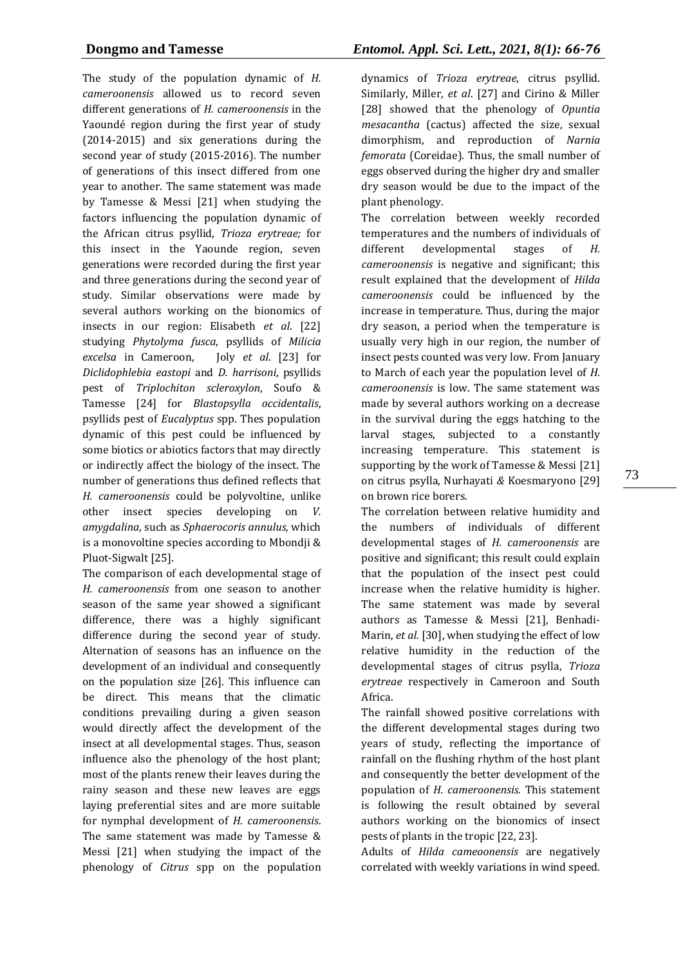The study of the population dynamic of *H. cameroonensis* allowed us to record seven different generations of *H. cameroonensis* in the Yaoundé region during the first year of study (2014-2015) and six generations during the second year of study (2015-2016). The number of generations of this insect differed from one year to another. The same statement was made by Tamesse & Messi [21] when studying the factors influencing the population dynamic of the African citrus psyllid, *Trioza erytreae;* for this insect in the Yaounde region, seven generations were recorded during the first year and three generations during the second year of study. Similar observations were made by several authors working on the bionomics of insects in our region: Elisabeth *et al*. [22] studying *Phytolyma fusca*, psyllids of *Milicia excelsa* in Cameroon, Joly *et al*. [23] for *Diclidophlebia eastopi* and *D. harrisoni*, psyllids pest of *Triplochiton scleroxylon*, Soufo & Tamesse [24] for *Blastopsylla occidentalis*, psyllids pest of *Eucalyptus* spp. Thes population dynamic of this pest could be influenced by some biotics or abiotics factors that may directly or indirectly affect the biology of the insect. The number of generations thus defined reflects that *H. cameroonensis* could be polyvoltine, unlike other insect species developing on *V. amygdalina*, such as *Sphaerocoris annulus,* which is a monovoltine species according to Mbondji & Pluot-Sigwalt [25].

The comparison of each developmental stage of *H. cameroonensis* from one season to another season of the same year showed a significant difference, there was a highly significant difference during the second year of study. Alternation of seasons has an influence on the development of an individual and consequently on the population size [26]. This influence can be direct. This means that the climatic conditions prevailing during a given season would directly affect the development of the insect at all developmental stages. Thus, season influence also the phenology of the host plant; most of the plants renew their leaves during the rainy season and these new leaves are eggs laying preferential sites and are more suitable for nymphal development of *H. cameroonensis*. The same statement was made by Tamesse & Messi [21] when studying the impact of the phenology of *Citrus* spp on the population

dynamics of *Trioza erytreae*, citrus psyllid. Similarly, Miller, *et al*. [27] and Cirino & Miller [28] showed that the phenology of *Opuntia mesacantha* (cactus) affected the size, sexual dimorphism, and reproduction of *Narnia femorata* (Coreidae). Thus, the small number of eggs observed during the higher dry and smaller dry season would be due to the impact of the plant phenology.

The correlation between weekly recorded temperatures and the numbers of individuals of different developmental stages of *H. cameroonensis* is negative and significant; this result explained that the development of *Hilda cameroonensis* could be influenced by the increase in temperature. Thus, during the major dry season, a period when the temperature is usually very high in our region, the number of insect pests counted was very low. From January to March of each year the population level of *H. cameroonensis* is low. The same statement was made by several authors working on a decrease in the survival during the eggs hatching to the larval stages, subjected to a constantly increasing temperature. This statement is supporting by the work of Tamesse & Messi [21] on citrus psylla, Nurhayati *&* Koesmaryono [29] on brown rice borers.

The correlation between relative humidity and the numbers of individuals of different developmental stages of *H. cameroonensis* are positive and significant; this result could explain that the population of the insect pest could increase when the relative humidity is higher. The same statement was made by several authors as Tamesse & Messi [21], Benhadi-Marin, *et al.* [30], when studying the effect of low relative humidity in the reduction of the developmental stages of citrus psylla, *Trioza erytreae* respectively in Cameroon and South Africa.

The rainfall showed positive correlations with the different developmental stages during two years of study, reflecting the importance of rainfall on the flushing rhythm of the host plant and consequently the better development of the population of *H. cameroonensis.* This statement is following the result obtained by several authors working on the bionomics of insect pests of plants in the tropic [22, 23].

Adults of *Hilda cameoonensis* are negatively correlated with weekly variations in wind speed.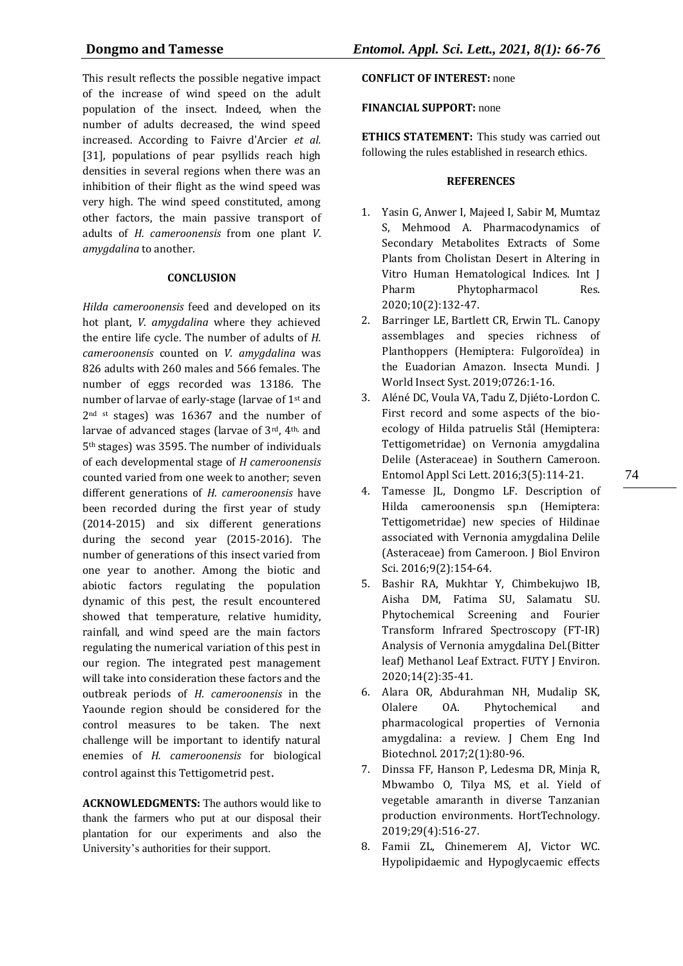This result reflects the possible negative impact of the increase of wind speed on the adult population of the insect. Indeed, when the number of adults decreased, the wind speed increased. According to Faivre d'Arcier *et al.* [31], populations of pear psyllids reach high densities in several regions when there was an inhibition of their flight as the wind speed was very high. The wind speed constituted, among other factors, the main passive transport of adults of *H. cameroonensis* from one plant *V*. *amygdalina* to another.

#### **CONCLUSION**

*Hilda cameroonensis* feed and developed on its hot plant, *V. amygdalina* where they achieved the entire life cycle. The number of adults of *H. cameroonensis* counted on *V. amygdalina* was 826 adults with 260 males and 566 females. The number of eggs recorded was 13186. The number of larvae of early-stage (larvae of 1st and 2<sup>nd st</sup> stages) was 16367 and the number of larvae of advanced stages (larvae of 3rd, 4th, and 5th stages) was 3595. The number of individuals of each developmental stage of *H cameroonensis* counted varied from one week to another; seven different generations of *H. cameroonensis* have been recorded during the first year of study (2014-2015) and six different generations during the second year (2015-2016). The number of generations of this insect varied from one year to another. Among the biotic and abiotic factors regulating the population dynamic of this pest, the result encountered showed that temperature, relative humidity, rainfall, and wind speed are the main factors regulating the numerical variation of this pest in our region. The integrated pest management will take into consideration these factors and the outbreak periods of *H. cameroonensis* in the Yaounde region should be considered for the control measures to be taken. The next challenge will be important to identify natural enemies of *H. cameroonensis* for biological control against this Tettigometrid pest.

**ACKNOWLEDGMENTS:** The authors would like to thank the farmers who put at our disposal their plantation for our experiments and also the University's authorities for their support.

# **CONFLICT OF INTEREST:** none

# **FINANCIAL SUPPORT:** none

**ETHICS STATEMENT:** This study was carried out following the rules established in research ethics.

#### **REFERENCES**

- 1. Yasin G, Anwer I, Majeed I, Sabir M, Mumtaz S, Mehmood A. Pharmacodynamics of Secondary Metabolites Extracts of Some Plants from Cholistan Desert in Altering in Vitro Human Hematological Indices. Int J Pharm Phytopharmacol Res. 2020;10(2):132-47.
- 2. Barringer LE, Bartlett CR, Erwin TL. Canopy assemblages and species richness of Planthoppers (Hemiptera: Fulgoroїdea) in the Euadorian Amazon. Insecta Mundi. J World Insect Syst. 2019;0726:1-16.
- 3. Aléné DC, Voula VA, Tadu Z, Djiéto-Lordon C. First record and some aspects of the bioecology of Hilda patruelis Stål (Hemiptera: Tettigometridae) on Vernonia amygdalina Delile (Asteraceae) in Southern Cameroon. Entomol Appl Sci Lett. 2016;3(5):114-21.
- 4. Tamesse JL, Dongmo LF. Description of Hilda cameroonensis sp.n (Hemiptera: Tettigometridae) new species of Hildinae associated with Vernonia amygdalina Delile (Asteraceae) from Cameroon. J Biol Environ Sci. 2016;9(2):154-64.
- 5. Bashir RA, Mukhtar Y, Chimbekujwo IB, Aisha DM, Fatima SU, Salamatu SU. Phytochemical Screening and Fourier Transform Infrared Spectroscopy (FT-IR) Analysis of Vernonia amygdalina Del.(Bitter leaf) Methanol Leaf Extract. FUTY J Environ. 2020;14(2):35-41.
- 6. Alara OR, Abdurahman NH, Mudalip SK, Olalere OA. Phytochemical and pharmacological properties of Vernonia amygdalina: a review. J Chem Eng Ind Biotechnol. 2017;2(1):80-96.
- 7. Dinssa FF, Hanson P, Ledesma DR, Minja R, Mbwambo O, Tilya MS, et al. Yield of vegetable amaranth in diverse Tanzanian production environments. HortTechnology. 2019;29(4):516-27.
- 8. Famii ZL, Chinemerem AJ, Victor WC. Hypolipidaemic and Hypoglycaemic effects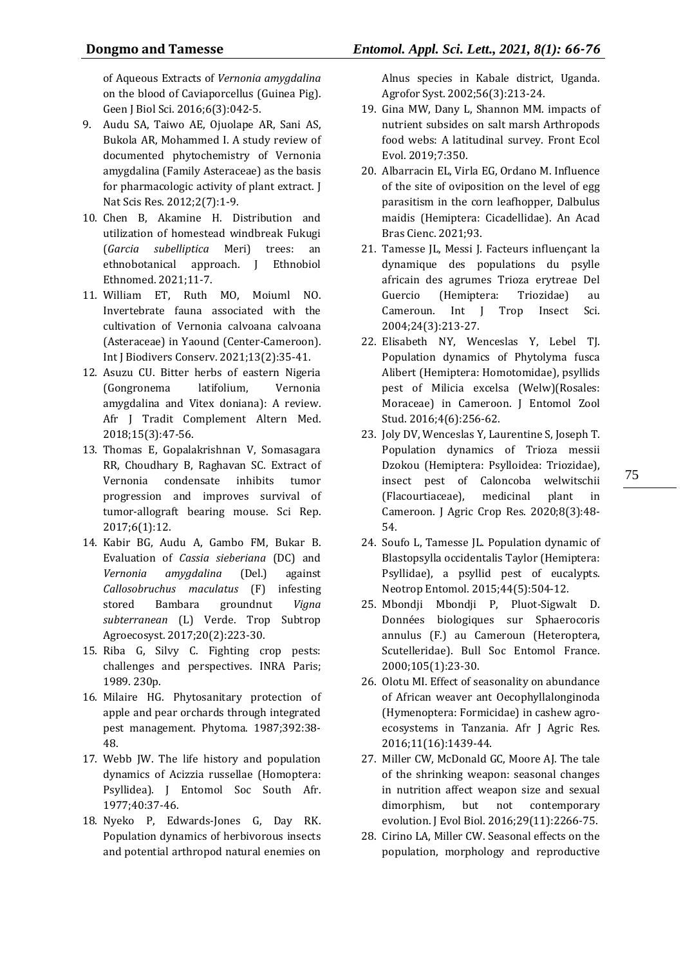of Aqueous Extracts of *Vernonia amygdalina* on the blood of Caviaporcellus (Guinea Pig). Geen J Biol Sci. 2016;6(3):042-5.

- 9. Audu SA, Taiwo AE, Ojuolape AR, Sani AS, Bukola AR, Mohammed I. A study review of documented phytochemistry of Vernonia amygdalina (Family Asteraceae) as the basis for pharmacologic activity of plant extract. J Nat Scis Res. 2012;2(7):1-9.
- 10. Chen B, Akamine H. Distribution and utilization of homestead windbreak Fukugi (*Garcia subelliptica* Meri) trees: an ethnobotanical approach. J Ethnobiol Ethnomed. 2021;11-7.
- 11. William ET, Ruth MO, Moiuml NO. Invertebrate fauna associated with the cultivation of Vernonia calvoana calvoana (Asteraceae) in Yaound (Center-Cameroon). Int J Biodivers Conserv. 2021;13(2):35-41.
- 12. Asuzu CU. Bitter herbs of eastern Nigeria (Gongronema latifolium, Vernonia amygdalina and Vitex doniana): A review. Afr J Tradit Complement Altern Med. 2018;15(3):47-56.
- 13. Thomas E, Gopalakrishnan V, Somasagara RR, Choudhary B, Raghavan SC. Extract of Vernonia condensate inhibits tumor progression and improves survival of tumor-allograft bearing mouse. Sci Rep. 2017;6(1):12.
- 14. Kabir BG, Audu A, Gambo FM, Bukar B. Evaluation of *Cassia sieberiana* (DC) and *Vernonia amygdalina* (Del.) against *Callosobruchus maculatus* (F) infesting stored Bambara groundnut *Vigna subterranean* (L) Verde. Trop Subtrop Agroecosyst. 2017;20(2):223-30.
- 15. Riba G, Silvy C. Fighting crop pests: challenges and perspectives. INRA Paris; 1989. 230p.
- 16. Milaire HG. Phytosanitary protection of apple and pear orchards through integrated pest management. Phytoma. 1987;392:38- 48.
- 17. Webb JW. The life history and population dynamics of Acizzia russellae (Homoptera: Psyllidea). J Entomol Soc South Afr. 1977;40:37-46.
- 18. Nyeko P, Edwards-Jones G, Day RK. Population dynamics of herbivorous insects and potential arthropod natural enemies on

Alnus species in Kabale district, Uganda. Agrofor Syst. 2002;56(3):213-24.

- 19. Gina MW, Dany L, Shannon MM. impacts of nutrient subsides on salt marsh Arthropods food webs: A latitudinal survey. Front Ecol Evol. 2019;7:350.
- 20. Albarracin EL, Virla EG, Ordano M. Influence of the site of oviposition on the level of egg parasitism in the corn leafhopper, Dalbulus maidis (Hemiptera: Cicadellidae). An Acad Bras Cienc. 2021;93.
- 21. Tamesse JL, Messi J. Facteurs influençant la dynamique des populations du psylle africain des agrumes Trioza erytreae Del Guercio (Hemiptera: Triozidae) au Cameroun. Int J Trop Insect Sci. 2004;24(3):213-27.
- 22. Elisabeth NY, Wenceslas Y, Lebel TJ. Population dynamics of Phytolyma fusca Alibert (Hemiptera: Homotomidae), psyllids pest of Milicia excelsa (Welw)(Rosales: Moraceae) in Cameroon. J Entomol Zool Stud. 2016;4(6):256-62.
- 23. Joly DV, Wenceslas Y, Laurentine S, Joseph T. Population dynamics of Trioza messii Dzokou (Hemiptera: Psylloidea: Triozidae), insect pest of Caloncoba welwitschii (Flacourtiaceae), medicinal plant in Cameroon. J Agric Crop Res. 2020;8(3):48- 54.
- 24. Soufo L, Tamesse JL. Population dynamic of Blastopsylla occidentalis Taylor (Hemiptera: Psyllidae), a psyllid pest of eucalypts. Neotrop Entomol. 2015;44(5):504-12.
- 25. Mbondji Mbondji P, Pluot-Sigwalt D. Données biologiques sur Sphaerocoris annulus (F.) au Cameroun (Heteroptera, Scutelleridae). Bull Soc Entomol France. 2000;105(1):23-30.
- 26. Olotu MI. Effect of seasonality on abundance of African weaver ant Oecophyllalonginoda (Hymenoptera: Formicidae) in cashew agroecosystems in Tanzania. Afr J Agric Res. 2016;11(16):1439-44.
- 27. Miller CW, McDonald GC, Moore AJ. The tale of the shrinking weapon: seasonal changes in nutrition affect weapon size and sexual dimorphism, but not contemporary evolution. J Evol Biol. 2016;29(11):2266-75.
- 28. Cirino LA, Miller CW. Seasonal effects on the population, morphology and reproductive